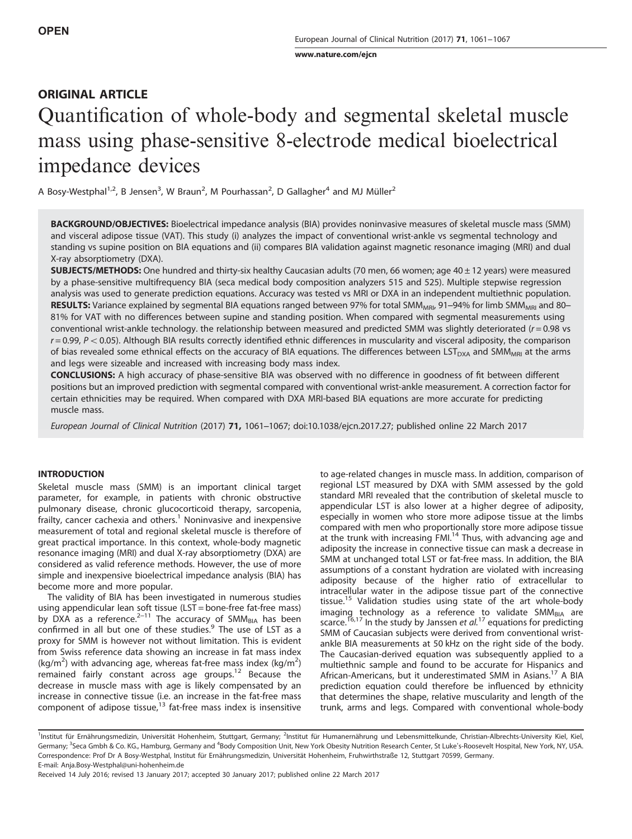[www.nature.com/ejcn](http://www.nature.com/ejcn)

# ORIGINAL ARTICLE Quantification of whole-body and segmental skeletal muscle mass using phase-sensitive 8-electrode medical bioelectrical impedance devices

A Bosy-Westphal<sup>1,2</sup>, B Jensen<sup>3</sup>, W Braun<sup>2</sup>, M Pourhassan<sup>2</sup>, D Gallagher<sup>4</sup> and MJ Müller<sup>2</sup>

BACKGROUND/OBJECTIVES: Bioelectrical impedance analysis (BIA) provides noninvasive measures of skeletal muscle mass (SMM) and visceral adipose tissue (VAT). This study (i) analyzes the impact of conventional wrist-ankle vs segmental technology and standing vs supine position on BIA equations and (ii) compares BIA validation against magnetic resonance imaging (MRI) and dual X-ray absorptiometry (DXA).

**SUBJECTS/METHODS:** One hundred and thirty-six healthy Caucasian adults (70 men, 66 women; age  $40 \pm 12$  years) were measured by a phase-sensitive multifrequency BIA (seca medical body composition analyzers 515 and 525). Multiple stepwise regression analysis was used to generate prediction equations. Accuracy was tested vs MRI or DXA in an independent multiethnic population. RESULTS: Variance explained by segmental BIA equations ranged between 97% for total SMM<sub>MRI</sub>, 91–94% for limb SMM<sub>MRI</sub> and 80– 81% for VAT with no differences between supine and standing position. When compared with segmental measurements using conventional wrist-ankle technology. the relationship between measured and predicted SMM was slightly deteriorated  $(r = 0.98 \text{ vs } s = 0.06 \text{ vs } s = 0.06 \text{ vs } s = 0.06 \text{ vs } s = 0.06 \text{ vs } s = 0.06 \text{ vs } s = 0.06 \text{ vs } s = 0.06 \text{ vs } s = 0.06 \text$  $r = 0.99$ ,  $P < 0.05$ ). Although BIA results correctly identified ethnic differences in muscularity and visceral adiposity, the comparison of bias revealed some ethnical effects on the accuracy of BIA equations. The differences between  $LST_{DXA}$  and SMM<sub>MRI</sub> at the arms and legs were sizeable and increased with increasing body mass index.

CONCLUSIONS: A high accuracy of phase-sensitive BIA was observed with no difference in goodness of fit between different positions but an improved prediction with segmental compared with conventional wrist-ankle measurement. A correction factor for certain ethnicities may be required. When compared with DXA MRI-based BIA equations are more accurate for predicting muscle mass.

European Journal of Clinical Nutrition (2017) 71, 1061–1067; doi[:10.1038/ejcn.2017.27;](http://dx.doi.org/10.1038/ejcn.2017.27) published online 22 March 2017

# **INTRODUCTION**

Skeletal muscle mass (SMM) is an important clinical target parameter, for example, in patients with chronic obstructive pulmonary disease, chronic glucocorticoid therapy, sarcopenia, frailty, cancer cachexia and others.<sup>[1](#page-6-0)</sup> Noninvasive and inexpensive measurement of total and regional skeletal muscle is therefore of great practical importance. In this context, whole-body magnetic resonance imaging (MRI) and dual X-ray absorptiometry (DXA) are considered as valid reference methods. However, the use of more simple and inexpensive bioelectrical impedance analysis (BIA) has become more and more popular.

The validity of BIA has been investigated in numerous studies using appendicular lean soft tissue (LST = bone-free fat-free mass) by DXA as a reference.<sup>2–[11](#page-6-0)</sup> The accuracy of SMM<sub>BIA</sub> has been confirmed in all but one of these studies.<sup>[9](#page-6-0)</sup> The use of LST as a proxy for SMM is however not without limitation. This is evident from Swiss reference data showing an increase in fat mass index (kg/m<sup>2</sup>) with advancing age, whereas fat-free mass index (kg/m<sup>2</sup>) remained fairly constant across age groups.<sup>[12](#page-6-0)</sup> Because the decrease in muscle mass with age is likely compensated by an increase in connective tissue (i.e. an increase in the fat-free mass component of adipose tissue, $13$  fat-free mass index is insensitive to age-related changes in muscle mass. In addition, comparison of regional LST measured by DXA with SMM assessed by the gold standard MRI revealed that the contribution of skeletal muscle to appendicular LST is also lower at a higher degree of adiposity, especially in women who store more adipose tissue at the limbs compared with men who proportionally store more adipose tissue at the trunk with increasing FMI.<sup>[14](#page-6-0)</sup> Thus, with advancing age and adiposity the increase in connective tissue can mask a decrease in SMM at unchanged total LST or fat-free mass. In addition, the BIA assumptions of a constant hydration are violated with increasing adiposity because of the higher ratio of extracellular to intracellular water in the adipose tissue part of the connective tissue.<sup>[15](#page-6-0)</sup> Validation studies using state of the art whole-body imaging technology as a reference to validate SMM<sub>BIA</sub> are scarce.<sup>[16,17](#page-6-0)</sup> In the study by Janssen et  $al$ <sup>[17](#page-6-0)</sup> equations for predicting SMM of Caucasian subjects were derived from conventional wristankle BIA measurements at 50 kHz on the right side of the body. The Caucasian-derived equation was subsequently applied to a multiethnic sample and found to be accurate for Hispanics and African-Americans, but it underestimated SMM in Asians.[17](#page-6-0) A BIA prediction equation could therefore be influenced by ethnicity that determines the shape, relative muscularity and length of the trunk, arms and legs. Compared with conventional whole-body

<sup>&</sup>lt;sup>1</sup>Institut für Ernährungsmedizin, Universität Hohenheim, Stuttgart, Germany; <sup>2</sup>Institut für Humanernährung und Lebensmittelkunde, Christian-Albrechts-University Kiel, Kiel, Germany; <sup>3</sup>Seca Gmbh & Co. KG., Hamburg, Germany and <sup>4</sup>Body Composition Unit, New York Obesity Nutrition Research Center, St Luke's-Roosevelt Hospital, New York, NY, USA. Correspondence: Prof Dr A Bosy-Westphal, Institut für Ernährungsmedizin, Universität Hohenheim, Fruhwirthstraße 12, Stuttgart 70599, Germany. E-mail: [Anja.Bosy-Westphal@uni-hohenheim.de](mailto:Anja.Bosy-Westphal@uni-hohenheim.de)

Received 14 July 2016; revised 13 January 2017; accepted 30 January 2017; published online 22 March 2017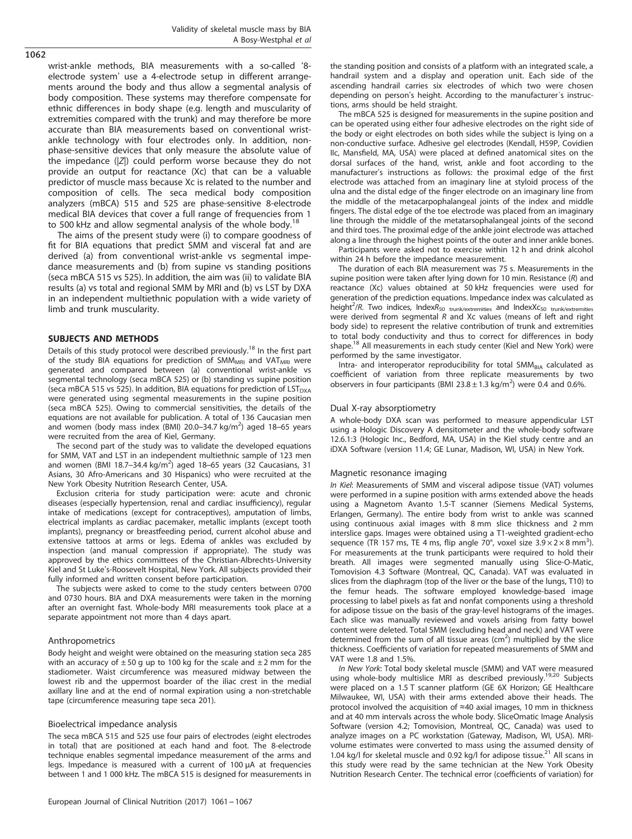1062

wrist-ankle methods, BIA measurements with a so-called '8 electrode system' use a 4-electrode setup in different arrangements around the body and thus allow a segmental analysis of body composition. These systems may therefore compensate for ethnic differences in body shape (e.g. length and muscularity of extremities compared with the trunk) and may therefore be more accurate than BIA measurements based on conventional wristankle technology with four electrodes only. In addition, nonphase-sensitive devices that only measure the absolute value of the impedance  $(|Z|)$  could perform worse because they do not provide an output for reactance (Xc) that can be a valuable predictor of muscle mass because Xc is related to the number and composition of cells. The seca medical body composition analyzers (mBCA) 515 and 525 are phase-sensitive 8-electrode medical BIA devices that cover a full range of frequencies from 1 to 500 kHz and allow segmental analysis of the whole body.<sup>[18](#page-6-0)</sup>

The aims of the present study were (i) to compare goodness of fit for BIA equations that predict SMM and visceral fat and are derived (a) from conventional wrist-ankle vs segmental impedance measurements and (b) from supine vs standing positions (seca mBCA 515 vs 525). In addition, the aim was (ii) to validate BIA results (a) vs total and regional SMM by MRI and (b) vs LST by DXA in an independent multiethnic population with a wide variety of limb and trunk muscularity.

## SUBJECTS AND METHODS

Details of this study protocol were described previously.<sup>[18](#page-6-0)</sup> In the first part of the study BIA equations for prediction of  $SMM_{MRI}$  and  $VAT_{MRI}$  were generated and compared between (a) conventional wrist-ankle vs segmental technology (seca mBCA 525) or (b) standing vs supine position (seca mBCA 515 vs 525). In addition, BIA equations for prediction of  $LST<sub>DXA</sub>$ were generated using segmental measurements in the supine position (seca mBCA 525). Owing to commercial sensitivities, the details of the equations are not available for publication. A total of 136 Caucasian men and women (body mass index (BMI) 20.0-34.7 kg/m<sup>2</sup>) aged 18-65 years were recruited from the area of Kiel, Germany.

The second part of the study was to validate the developed equations for SMM, VAT and LST in an independent multiethnic sample of 123 men and women (BMI 18.7-34.4 kg/m<sup>2</sup>) aged 18-65 years (32 Caucasians, 31 Asians, 30 Afro-Americans and 30 Hispanics) who were recruited at the New York Obesity Nutrition Research Center, USA.

Exclusion criteria for study participation were: acute and chronic diseases (especially hypertension, renal and cardiac insufficiency), regular intake of medications (except for contraceptives), amputation of limbs, electrical implants as cardiac pacemaker, metallic implants (except tooth implants), pregnancy or breastfeeding period, current alcohol abuse and extensive tattoos at arms or legs. Edema of ankles was excluded by inspection (and manual compression if appropriate). The study was approved by the ethics committees of the Christian-Albrechts-University Kiel and St Luke's-Roosevelt Hospital, New York. All subjects provided their fully informed and written consent before participation.

The subjects were asked to come to the study centers between 0700 and 0730 hours. BIA and DXA measurements were taken in the morning after an overnight fast. Whole-body MRI measurements took place at a separate appointment not more than 4 days apart.

#### Anthropometrics

Body height and weight were obtained on the measuring station seca 285 with an accuracy of  $\pm 50$  g up to 100 kg for the scale and  $\pm 2$  mm for the stadiometer. Waist circumference was measured midway between the lowest rib and the uppermost boarder of the iliac crest in the medial axillary line and at the end of normal expiration using a non-stretchable tape (circumference measuring tape seca 201).

#### Bioelectrical impedance analysis

The seca mBCA 515 and 525 use four pairs of electrodes (eight electrodes in total) that are positioned at each hand and foot. The 8-electrode technique enables segmental impedance measurement of the arms and legs. Impedance is measured with a current of 100 μA at frequencies between 1 and 1 000 kHz. The mBCA 515 is designed for measurements in the standing position and consists of a platform with an integrated scale, a handrail system and a display and operation unit. Each side of the ascending handrail carries six electrodes of which two were chosen depending on person's height. According to the manufacturer´s instructions, arms should be held straight.

The mBCA 525 is designed for measurements in the supine position and can be operated using either four adhesive electrodes on the right side of the body or eight electrodes on both sides while the subject is lying on a non-conductive surface. Adhesive gel electrodes (Kendall, H59P, Covidien IIc, Mansfield, MA, USA) were placed at defined anatomical sites on the dorsal surfaces of the hand, wrist, ankle and foot according to the manufacturer's instructions as follows: the proximal edge of the first electrode was attached from an imaginary line at styloid process of the ulna and the distal edge of the finger electrode on an imaginary line from the middle of the metacarpophalangeal joints of the index and middle fingers. The distal edge of the toe electrode was placed from an imaginary line through the middle of the metatarsophalangeal joints of the second and third toes. The proximal edge of the ankle joint electrode was attached along a line through the highest points of the outer and inner ankle bones.

Participants were asked not to exercise within 12 h and drink alcohol within 24 h before the impedance measurement.

The duration of each BIA measurement was 75 s. Measurements in the supine position were taken after lying down for 10 min. Resistance (R) and reactance (Xc) values obtained at 50 kHz frequencies were used for generation of the prediction equations. Impedance index was calculated as height<sup>2</sup>/R. Two indices, IndexR<sub>50 trunk/extremities</sub> and IndexXc<sub>50 trunk/extremities</sub> were derived from segmental  $R$  and  $Xc$  values (means of left and right body side) to represent the relative contribution of trunk and extremities to total body conductivity and thus to correct for differences in body shape.<sup>[18](#page-6-0)</sup> All measurements in each study center (Kiel and New York) were performed by the same investigator.

Intra- and interoperator reproducibility for total SMM<sub>BIA</sub> calculated as coefficient of variation from three replicate measurements by two observers in four participants (BMI 23.8  $\pm$  1.3 kg/m<sup>2</sup>) were 0.4 and 0.6%.

#### Dual X-ray absorptiometry

A whole-body DXA scan was performed to measure appendicular LST using a Hologic Discovery A densitometer and the whole-body software 12.6.1:3 (Hologic Inc., Bedford, MA, USA) in the Kiel study centre and an iDXA Software (version 11.4; GE Lunar, Madison, WI, USA) in New York.

#### Magnetic resonance imaging

In Kiel: Measurements of SMM and visceral adipose tissue (VAT) volumes were performed in a supine position with arms extended above the heads using a Magnetom Avanto 1.5-T scanner (Siemens Medical Systems, Erlangen, Germany). The entire body from wrist to ankle was scanned using continuous axial images with 8 mm slice thickness and 2 mm interslice gaps. Images were obtained using a T1-weighted gradient-echo sequence (TR 157 ms, TE 4 ms, flip angle 70°, voxel size  $3.9 \times 2 \times 8$  mm<sup>3</sup>). For measurements at the trunk participants were required to hold their breath. All images were segmented manually using Slice-O-Matic, Tomovision 4.3 Software (Montreal, QC, Canada). VAT was evaluated in slices from the diaphragm (top of the liver or the base of the lungs, T10) to the femur heads. The software employed knowledge-based image processing to label pixels as fat and nonfat components using a threshold for adipose tissue on the basis of the gray-level histograms of the images. Each slice was manually reviewed and voxels arising from fatty bowel content were deleted. Total SMM (excluding head and neck) and VAT were determined from the sum of all tissue areas ( $cm<sup>2</sup>$ ) multiplied by the slice thickness. Coefficients of variation for repeated measurements of SMM and VAT were 1.8 and 1.5%.

In New York: Total body skeletal muscle (SMM) and VAT were measured using whole-body multislice MRI as described previously.<sup>[19,20](#page-6-0)</sup> Subjects were placed on a 1.5 T scanner platform (GE 6X Horizon; GE Healthcare Milwaukee, WI, USA) with their arms extended above their heads. The protocol involved the acquisition of ≈40 axial images, 10 mm in thickness and at 40 mm intervals across the whole body. SliceOmatic Image Analysis Software (version 4.2; Tomovision, Montreal, QC, Canada) was used to analyze images on a PC workstation (Gateway, Madison, WI, USA). MRIvolume estimates were converted to mass using the assumed density of 1.04 kg/l for skeletal muscle and 0.92 kg/l for adipose tissue.<sup>21</sup> All scans in this study were read by the same technician at the New York Obesity Nutrition Research Center. The technical error (coefficients of variation) for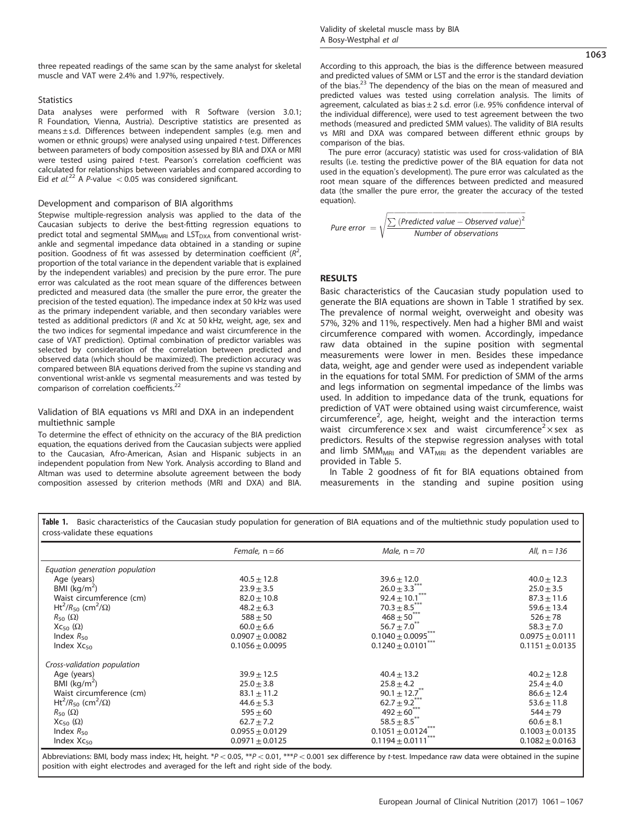1063

three repeated readings of the same scan by the same analyst for skeletal muscle and VAT were 2.4% and 1.97%, respectively.

## **Statistics**

Data analyses were performed with R Software (version 3.0.1; R Foundation, Vienna, Austria). Descriptive statistics are presented as means ± s.d. Differences between independent samples (e.g. men and women or ethnic groups) were analysed using unpaired t-test. Differences between parameters of body composition assessed by BIA and DXA or MRI were tested using paired t-test. Pearson's correlation coefficient was calculated for relationships between variables and compared according to Eid et al.<sup>[22](#page-6-0)</sup> A P-value  $< 0.05$  was considered significant.

#### Development and comparison of BIA algorithms

Stepwise multiple-regression analysis was applied to the data of the Caucasian subjects to derive the best-fitting regression equations to predict total and segmental SMM<sub>MRI</sub> and LST<sub>DXA</sub> from conventional wristankle and segmental impedance data obtained in a standing or supine position. Goodness of fit was assessed by determination coefficient  $(R^2)$ , , proportion of the total variance in the dependent variable that is explained by the independent variables) and precision by the pure error. The pure error was calculated as the root mean square of the differences between predicted and measured data (the smaller the pure error, the greater the precision of the tested equation). The impedance index at 50 kHz was used as the primary independent variable, and then secondary variables were tested as additional predictors (R and Xc at 50 kHz, weight, age, sex and the two indices for segmental impedance and waist circumference in the case of VAT prediction). Optimal combination of predictor variables was selected by consideration of the correlation between predicted and observed data (which should be maximized). The prediction accuracy was compared between BIA equations derived from the supine vs standing and conventional wrist-ankle vs segmental measurements and was tested by comparison of correlation coefficients.<sup>22</sup>

## Validation of BIA equations vs MRI and DXA in an independent multiethnic sample

To determine the effect of ethnicity on the accuracy of the BIA prediction equation, the equations derived from the Caucasian subjects were applied to the Caucasian, Afro-American, Asian and Hispanic subjects in an independent population from New York. Analysis according to Bland and Altman was used to determine absolute agreement between the body composition assessed by criterion methods (MRI and DXA) and BIA. According to this approach, the bias is the difference between measured and predicted values of SMM or LST and the error is the standard deviation of the bias.<sup>[23](#page-6-0)</sup> The dependency of the bias on the mean of measured and predicted values was tested using correlation analysis. The limits of agreement, calculated as bias  $\pm 2$  s.d. error (i.e. 95% confidence interval of the individual difference), were used to test agreement between the two methods (measured and predicted SMM values). The validity of BIA results vs MRI and DXA was compared between different ethnic groups by comparison of the bias.

The pure error (accuracy) statistic was used for cross-validation of BIA results (i.e. testing the predictive power of the BIA equation for data not used in the equation's development). The pure error was calculated as the root mean square of the differences between predicted and measured data (the smaller the pure error, the greater the accuracy of the tested equation).

$$
Pure error = \sqrt{\frac{\sum (Predicted value - Observed value)^2}{Number of observations}}
$$

#### **RESULTS**

Basic characteristics of the Caucasian study population used to generate the BIA equations are shown in Table 1 stratified by sex. The prevalence of normal weight, overweight and obesity was 57%, 32% and 11%, respectively. Men had a higher BMI and waist circumference compared with women. Accordingly, impedance raw data obtained in the supine position with segmental measurements were lower in men. Besides these impedance data, weight, age and gender were used as independent variable in the equations for total SMM. For prediction of SMM of the arms and legs information on segmental impedance of the limbs was used. In addition to impedance data of the trunk, equations for prediction of VAT were obtained using waist circumference, waist circumference<sup>2</sup>, age, height, weight and the interaction terms waist circumference  $\times$  sex and waist circumference<sup>2</sup>  $\times$  sex as predictors. Results of the stepwise regression analyses with total and limb SMM<sub>MRI</sub> and VAT<sub>MRI</sub> as the dependent variables are provided in [Table 5](#page-5-0).

In [Table 2](#page-3-0) goodness of fit for BIA equations obtained from measurements in the standing and supine position using

Table 1. Basic characteristics of the Caucasian study population for generation of BIA equations and of the multiethnic study population used to cross-validate these equations

|                                                                | Female, $n = 66$    | Male, $n = 70$                    | All, $n = 136$      |
|----------------------------------------------------------------|---------------------|-----------------------------------|---------------------|
| Equation generation population                                 |                     |                                   |                     |
| Age (years)                                                    | $40.5 \pm 12.8$     | $39.6 \pm 12.0$                   | $40.0 \pm 12.3$     |
| BMI $(kq/m2)$                                                  | $23.9 \pm 3.5$      | $26.0 \pm 3.3$ ***                | $25.0 \pm 3.5$      |
| Waist circumference (cm)                                       | $82.0 \pm 10.8$     | $92.4 \pm 10.1***$                | $87.3 \pm 11.6$     |
| Ht <sup>2</sup> /R <sub>50</sub> (cm <sup>2</sup> / $\Omega$ ) | $48.2 \pm 6.3$      | $70.3 \pm 8.5$ ***                | $59.6 \pm 13.4$     |
| $R_{50}(\Omega)$                                               | $588 + 50$          | $468 \pm 50^{***}$                | $526 + 78$          |
| $Xc_{50}(\Omega)$                                              | $60.0 + 6.6$        | $56.7 \pm 7.0^{**}$               | $58.3 \pm 7.0$      |
| Index $R_{50}$                                                 | $0.0907 \pm 0.0082$ | $0.1040 + 0.0095$ <sup>**</sup>   | $0.0975 \pm 0.0111$ |
| Index $Xc_{50}$                                                | $0.1056 + 0.0095$   | $0.1240 + 0.0101$ <sup>**</sup>   | $0.1151 \pm 0.0135$ |
| Cross-validation population                                    |                     |                                   |                     |
| Age (years)                                                    | $39.9 \pm 12.5$     | $40.4 \pm 13.2$                   | $40.2 \pm 12.8$     |
| BMI $(kq/m2)$                                                  | $25.0 \pm 3.8$      | $25.8 \pm 4.2$                    | $25.4 \pm 4.0$      |
| Waist circumference (cm)                                       | $83.1 \pm 11.2$     | $90.1 \pm 12.7$ <sup>**</sup>     | $86.6 \pm 12.4$     |
| Ht <sup>2</sup> /R <sub>50</sub> (cm <sup>2</sup> / $\Omega$ ) | $44.6 \pm 5.3$      | $62.7 \pm 9.2$ <sup>***</sup>     | $53.6 \pm 11.8$     |
| $R_{50}(\Omega)$                                               | $595 + 60$          | $492 \pm 60^{***}$                | $544 + 79$          |
| $Xc_{50}(\Omega)$                                              | $62.7 \pm 7.2$      | $58.5 \pm 8.5$ <sup>**</sup>      | $60.6 \pm 8.1$      |
| Index $R_{50}$                                                 | $0.0955 \pm 0.0129$ | $0.1051 \pm 0.0124$ <sup>**</sup> | $0.1003 \pm 0.0135$ |
| Index $Xc_{50}$                                                | $0.0971 \pm 0.0125$ | $0.1194 \pm 0.0111$               | $0.1082 \pm 0.0163$ |

Abbreviations: BMI, body mass index; Ht, height. \*P < 0.05, \*\*P < 0.01, \*\*\*P < 0.001 sex difference by t-test. Impedance raw data were obtained in the supine position with eight electrodes and averaged for the left and right side of the body.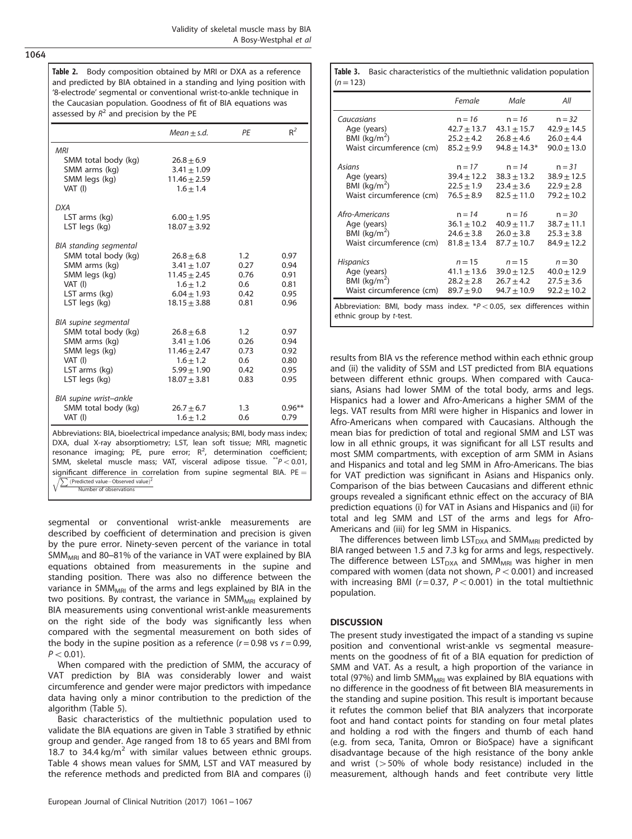<span id="page-3-0"></span>1064

Table 2. Body composition obtained by MRI or DXA as a reference and predicted by BIA obtained in a standing and lying position with '8-electrode' segmental or conventional wrist-to-ankle technique in the Caucasian population. Goodness of fit of BIA equations was assessed by  $R^2$  and precision by the PE

|                                                                                                                                                                                                                                                                                                       | $Mean + s.d.$                                                                                               | PE                                         | $R^2$                                        |  |
|-------------------------------------------------------------------------------------------------------------------------------------------------------------------------------------------------------------------------------------------------------------------------------------------------------|-------------------------------------------------------------------------------------------------------------|--------------------------------------------|----------------------------------------------|--|
| MRI<br>SMM total body (kg)<br>SMM arms (kg)<br>SMM legs (kg)<br>VAT (I)                                                                                                                                                                                                                               | $26.8 \pm 6.9$<br>$3.41 \pm 1.09$<br>$11.46 \pm 2.59$<br>$1.6 \pm 1.4$                                      |                                            |                                              |  |
| <b>DXA</b><br>LST arms (kg)<br>LST legs (kg)                                                                                                                                                                                                                                                          | $6.00 \pm 1.95$<br>$18.07 \pm 3.92$                                                                         |                                            |                                              |  |
| BIA standing segmental<br>SMM total body (kg)<br>SMM arms (kg)<br>SMM legs (kg)<br>VAT (I)<br>LST arms (kg)<br>LST legs (kg)                                                                                                                                                                          | $26.8 + 6.8$<br>$3.41 \pm 1.07$<br>$11.45 \pm 2.45$<br>$1.6 \pm 1.2$<br>$6.04 \pm 1.93$<br>$18.15 + 3.88$   | 1.2<br>0.27<br>0.76<br>0.6<br>0.42<br>0.81 | 0.97<br>0.94<br>0.91<br>0.81<br>0.95<br>0.96 |  |
| BIA supine segmental<br>SMM total body (kg)<br>SMM arms (kg)<br>SMM legs (kg)<br>VAT (I)<br>LST arms (kg)<br>LST legs (kg)                                                                                                                                                                            | $26.8 \pm 6.8$<br>$3.41 \pm 1.06$<br>$11.46 \pm 2.47$<br>$1.6 + 1.2$<br>$5.99 \pm 1.90$<br>$18.07 \pm 3.81$ | 1.2<br>0.26<br>0.73<br>0.6<br>0.42<br>0.83 | 0.97<br>0.94<br>0.92<br>0.80<br>0.95<br>0.95 |  |
| BIA supine wrist-ankle<br>SMM total body (kg)<br>VAT (I)                                                                                                                                                                                                                                              | $26.7 \pm 6.7$<br>$1.6 \pm 1.2$                                                                             | 1.3<br>0.6                                 | $0.96**$<br>0.79                             |  |
| Abbreviations: BIA, bioelectrical impedance analysis; BMI, body mass index;<br>DXA, dual X-ray absorptiometry; LST, lean soft tissue; MRI, magnetic<br>resonance imaging; PE, pure error; $R^2$ , determination coefficient;<br>SMM skeletal muscle mass: VAT visceral adinose tissue $^{**}P < 0.01$ |                                                                                                             |                                            |                                              |  |

SMM, skeletal muscle mass; VAT, visceral adipose tissue.  $*P < 0.01$ , significant difference in correlation from supine segmental BIA. PE =  $\sqrt{\sum (Predicted value-Observed value)^2}$ 

 $\sqrt{\sum_{\text{Peredicted value}-\text{Observed value}}^2}$ 

segmental or conventional wrist-ankle measurements are described by coefficient of determination and precision is given by the pure error. Ninety-seven percent of the variance in total  $SMM_{MRI}$  and 80–81% of the variance in VAT were explained by BIA equations obtained from measurements in the supine and standing position. There was also no difference between the variance in SMM<sub>MRI</sub> of the arms and legs explained by BIA in the two positions. By contrast, the variance in SMM<sub>MRI</sub> explained by BIA measurements using conventional wrist-ankle measurements on the right side of the body was significantly less when compared with the segmental measurement on both sides of the body in the supine position as a reference  $(r = 0.98 \text{ vs } r = 0.99)$ ,  $P < 0.01$ ).

When compared with the prediction of SMM, the accuracy of VAT prediction by BIA was considerably lower and waist circumference and gender were major predictors with impedance data having only a minor contribution to the prediction of the algorithm [\(Table 5](#page-5-0)).

Basic characteristics of the multiethnic population used to validate the BIA equations are given in Table 3 stratified by ethnic group and gender. Age ranged from 18 to 65 years and BMI from 18.7 to 34.4 kg/ $m^2$  with similar values between ethnic groups. [Table 4](#page-4-0) shows mean values for SMM, LST and VAT measured by the reference methods and predicted from BIA and compares (i)

Table 3. Basic characteristics of the multiethnic validation population  $(n=123)$ 

|                                                                                                    | Female          | Male             | All             |
|----------------------------------------------------------------------------------------------------|-----------------|------------------|-----------------|
| Caucasians                                                                                         | $n = 16$        | $n = 16$         | $n = 32$        |
| Age (years)                                                                                        | $42.7 \pm 13.7$ | $43.1 \pm 15.7$  | $42.9 \pm 14.5$ |
| BMI $(kq/m^2)$                                                                                     | $25.2 + 4.2$    | $26.8 + 4.6$     | $26.0 + 4.4$    |
| Waist circumference (cm)                                                                           | $85.2 \pm 9.9$  | $94.8 \pm 14.3*$ | $90.0 \pm 13.0$ |
| Asians                                                                                             | $n = 17$        | $n = 14$         | $n = 31$        |
| Age (years)                                                                                        | $39.4 \pm 12.2$ | $38.3 \pm 13.2$  | $38.9 \pm 12.5$ |
| BMI $(kq/m2)$                                                                                      | $22.5 \pm 1.9$  | $23.4 \pm 3.6$   | $22.9 \pm 2.8$  |
| Waist circumference (cm)                                                                           | $76.5 \pm 8.9$  | $82.5 \pm 11.0$  | $79.2 \pm 10.2$ |
| Afro-Americans                                                                                     | $n = 14$        | $n = 16$         | $n = 30$        |
| Age (years)                                                                                        | $36.1 \pm 10.2$ | $40.9 \pm 11.7$  | $38.7 \pm 11.1$ |
| BMI $(kq/m2)$                                                                                      | $24.6 \pm 3.8$  | $26.0 \pm 3.8$   | $25.3 \pm 3.8$  |
| Waist circumference (cm)                                                                           | $81.8 \pm 13.4$ | $87.7 \pm 10.7$  | $84.9 \pm 12.2$ |
| <b>Hispanics</b>                                                                                   | $n = 15$        | $n = 15$         | $n = 30$        |
| Age (years)                                                                                        | $41.1 \pm 13.6$ | $39.0 \pm 12.5$  | $40.0 \pm 12.9$ |
| BMI $(kq/m2)$                                                                                      | $28.2 \pm 2.8$  | $26.7 \pm 4.2$   | $27.5 \pm 3.6$  |
| Waist circumference (cm)                                                                           | $89.7 + 9.0$    | $94.7 + 10.9$    | $92.2 \pm 10.2$ |
| Abbreviation: BMI, body mass index. $P < 0.05$ , sex differences within<br>ethnic group by t-test. |                 |                  |                 |

results from BIA vs the reference method within each ethnic group and (ii) the validity of SSM and LST predicted from BIA equations between different ethnic groups. When compared with Caucasians, Asians had lower SMM of the total body, arms and legs. Hispanics had a lower and Afro-Americans a higher SMM of the legs. VAT results from MRI were higher in Hispanics and lower in Afro-Americans when compared with Caucasians. Although the mean bias for prediction of total and regional SMM and LST was low in all ethnic groups, it was significant for all LST results and most SMM compartments, with exception of arm SMM in Asians and Hispanics and total and leg SMM in Afro-Americans. The bias for VAT prediction was significant in Asians and Hispanics only. Comparison of the bias between Caucasians and different ethnic groups revealed a significant ethnic effect on the accuracy of BIA prediction equations (i) for VAT in Asians and Hispanics and (ii) for total and leg SMM and LST of the arms and legs for Afro-Americans and (iii) for leg SMM in Hispanics.

The differences between limb  $LST<sub>DXA</sub>$  and SMM<sub>MRI</sub> predicted by BIA ranged between 1.5 and 7.3 kg for arms and legs, respectively. The difference between  $LST<sub>DXA</sub>$  and SMM<sub>MRI</sub> was higher in men compared with women (data not shown,  $P < 0.001$ ) and increased with increasing BMI ( $r = 0.37$ ,  $P < 0.001$ ) in the total multiethnic population.

## **DISCUSSION**

The present study investigated the impact of a standing vs supine position and conventional wrist-ankle vs segmental measurements on the goodness of fit of a BIA equation for prediction of SMM and VAT. As a result, a high proportion of the variance in total (97%) and limb SMM<sub>MRI</sub> was explained by BIA equations with no difference in the goodness of fit between BIA measurements in the standing and supine position. This result is important because it refutes the common belief that BIA analyzers that incorporate foot and hand contact points for standing on four metal plates and holding a rod with the fingers and thumb of each hand (e.g. from seca, Tanita, Omron or BioSpace) have a significant disadvantage because of the high resistance of the bony ankle and wrist  $(550\%$  of whole body resistance) included in the measurement, although hands and feet contribute very little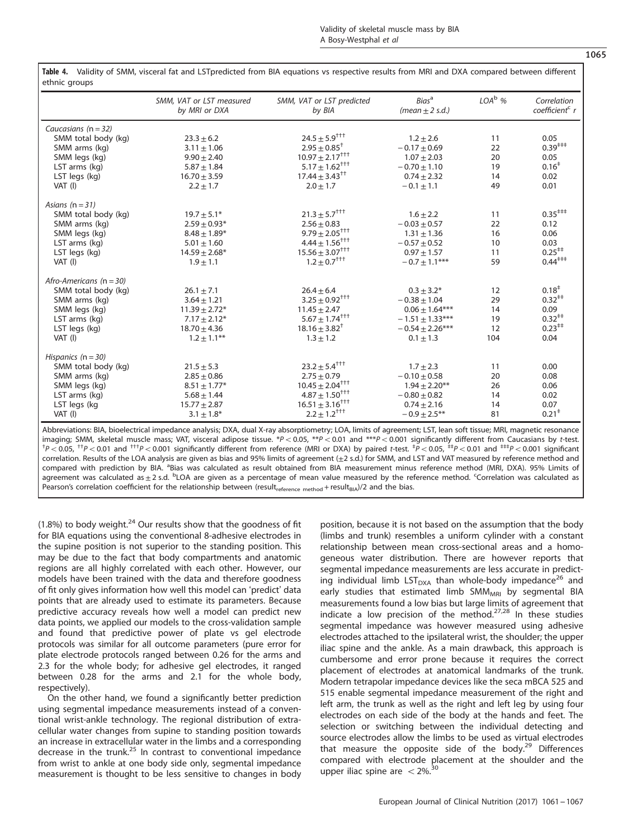| etting groups               |                                           |                                             |                                          |          |                                           |
|-----------------------------|-------------------------------------------|---------------------------------------------|------------------------------------------|----------|-------------------------------------------|
|                             | SMM, VAT or LST measured<br>by MRI or DXA | SMM, VAT or LST predicted<br>by BIA         | Bias <sup>a</sup><br>(mean $\pm$ 2 s.d.) | $LOAb$ % | Correlation<br>coefficient <sup>c</sup> r |
| Caucasians $(n = 32)$       |                                           |                                             |                                          |          |                                           |
| SMM total body (kg)         | $23.3 \pm 6.2$                            | $24.5 + 5.9^{+11}$                          | $1.2 + 2.6$                              | 11       | 0.05                                      |
| SMM arms (kg)               | $3.11 \pm 1.06$                           | $2.95 \pm 0.85^+$                           | $-0.17 + 0.69$                           | 22       | $0.39^{***}$                              |
| SMM legs (kg)               | $9.90 \pm 2.40$                           | $10.97 \pm 2.17^{+++}$                      | $1.07 \pm 2.03$                          | 20       | 0.05                                      |
| LST arms (kg)               | $5.87 \pm 1.84$                           | $5.17 \pm 1.62^{+11}$                       | $-0.70 \pm 1.10$                         | 19       | 0.16 <sup>†</sup>                         |
| LST legs (kg)               | $16.70 \pm 3.59$                          | $17.44 \pm 3.43^{++}$                       | $0.74 \pm 2.32$                          | 14       | 0.02                                      |
| VAT (I)                     | $2.2 \pm 1.7$                             | $2.0 \pm 1.7$                               | $-0.1 \pm 1.1$                           | 49       | 0.01                                      |
| Asians ( $n = 31$ )         |                                           |                                             |                                          |          |                                           |
| SMM total body (kg)         | $19.7 \pm 5.1*$                           | $21.3 \pm 5.7^{+1+}$                        | $1.6 \pm 2.2$                            | 11       | $0.35^{***}$                              |
| SMM arms (kg)               | $2.59 + 0.93*$                            | $2.56 + 0.83$                               | $-0.03 + 0.57$                           | 22       | 0.12                                      |
| SMM legs (kg)               | $8.48 \pm 1.89*$                          | $9.79 \pm 2.05^{+++}$                       | $1.31 + 1.36$                            | 16       | 0.06                                      |
| LST arms (kg)               | $5.01 \pm 1.60$                           | $4.44 \pm 1.56^{+++}$                       | $-0.57 \pm 0.52$                         | 10       | 0.03                                      |
| LST legs (kg)               | $14.59 \pm 2.68*$                         | $15.56 \pm 3.07^{ \dagger\ddagger\ddagger}$ | $0.97 \pm 1.57$                          | 11       | $0.25^{++}$                               |
| $VAT$ (I)                   | $1.9 \pm 1.1$                             | $1.2 \pm 0.7^{+++}$                         | $-0.7 \pm 1.1***$                        | 59       | $0.44^{***}$                              |
| Afro-Americans ( $n = 30$ ) |                                           |                                             |                                          |          |                                           |
| SMM total body (kg)         | $26.1 \pm 7.1$                            | $26.4 \pm 6.4$                              | $0.3 \pm 3.2^*$                          | 12       | $0.18^{+}$                                |
| SMM arms (kg)               | $3.64 \pm 1.21$                           | $3.25 \pm 0.92^{+ + +}$                     | $-0.38 \pm 1.04$                         | 29       | $0.32^{++}$                               |
| SMM legs (kg)               | $11.39 \pm 2.72*$                         | $11.45 \pm 2.47$                            | $0.06 \pm 1.64***$                       | 14       | 0.09                                      |
| LST arms (kg)               | $7.17 \pm 2.12*$                          | $5.67 \pm 1.74^{+++}$                       | $-1.51 \pm 1.33***$                      | 19       | $0.32^{++}$                               |
| LST legs (kg)               | $18.70 \pm 4.36$                          | $18.16 \pm 3.82^{\dagger}$                  | $-0.54 + 2.26***$                        | 12       | $0.23^{++}$                               |
| VAT (I)                     | $1.2 \pm 1.1***$                          | $1.3 \pm 1.2$                               | $0.1 \pm 1.3$                            | 104      | 0.04                                      |
| Hispanics $(n = 30)$        |                                           |                                             |                                          |          |                                           |
| SMM total body (kg)         | $21.5 \pm 5.3$                            | $23.2 \pm 5.4^{++}$                         | $1.7 + 2.3$                              | 11       | 0.00                                      |
| SMM arms (kg)               | $2.85 \pm 0.86$                           | $2.75 \pm 0.79$                             | $-0.10 \pm 0.58$                         | 20       | 0.08                                      |
| SMM legs (kg)               | $8.51 \pm 1.77*$                          | $10.45 \pm 2.04^{+++}$                      | $1.94 \pm 2.20***$                       | 26       | 0.06                                      |
| LST arms (kg)               | $5.68 \pm 1.44$                           | $4.87 \pm 1.50^{+ + +}$                     | $-0.80 \pm 0.82$                         | 14       | 0.02                                      |
| LST legs (kg                | $15.77 \pm 2.87$                          | $16.51 \pm 3.16^{+1+}$                      | $0.74 + 2.16$                            | 14       | 0.07                                      |
| VAT (I)                     | $3.1 \pm 1.8^*$                           | $2.2 \pm 1.2^{+++}$                         | $-0.9 + 2.5***$                          | 81       | $0.21$ <sup><math>+</math></sup>          |
|                             |                                           |                                             |                                          |          |                                           |

<span id="page-4-0"></span>Table 4. Validity of SMM, visceral fat and LSTpredicted from BIA equations vs respective results from MRI and DXA compared between different ethnic groups

Abbreviations: BIA, bioelectrical impedance analysis; DXA, dual X-ray absorptiometry; LOA, limits of agreement; LST, lean soft tissue; MRI, magnetic resonance imaging; SMM, skeletal muscle mass; VAT, visceral adipose tissue. \*P < 0.05, \*\*P < 0.01 and \*\*\*P < 0.001 significantly different from Caucasians by t-test.  $P < 0.05$ ,  $^{tt}P < 0.01$  and  $^{tt+p} < 0.001$  significantly different from reference (MRI or DXA) by paired t-test.  $^{t}P < 0.05$ ,  $^{t+p} < 0.01$  and  $^{t++}P < 0.001$  significant correlation. Results of the LOA analysis are given as bias and 95% limits of agreement  $(\pm 2 \text{ s.d.})$  for SMM, and LST and VAT measured by reference method and compared with prediction by BIA. <sup>a</sup>Bias was calculated as result obtained from BIA measurement minus reference method (MRI, DXA). 95% Limits of agreement was calculated as $\pm$ 2 s.d. <sup>b</sup>LOA are given as a percentage of mean value measured by the reference method. <sup>c</sup>Correlation was calculated as Pearson's correlation coefficient for the relationship between (result<sub>reference method</sub> + result<sub>BIA</sub>)/2 and the bias.

(1.8%) to body weight. $^{24}$  $^{24}$  $^{24}$  Our results show that the goodness of fit for BIA equations using the conventional 8-adhesive electrodes in the supine position is not superior to the standing position. This may be due to the fact that body compartments and anatomic regions are all highly correlated with each other. However, our models have been trained with the data and therefore goodness of fit only gives information how well this model can 'predict' data points that are already used to estimate its parameters. Because predictive accuracy reveals how well a model can predict new data points, we applied our models to the cross-validation sample and found that predictive power of plate vs gel electrode protocols was similar for all outcome parameters (pure error for plate electrode protocols ranged between 0.26 for the arms and 2.3 for the whole body; for adhesive gel electrodes, it ranged between 0.28 for the arms and 2.1 for the whole body, respectively).

On the other hand, we found a significantly better prediction using segmental impedance measurements instead of a conventional wrist-ankle technology. The regional distribution of extracellular water changes from supine to standing position towards an increase in extracellular water in the limbs and a corresponding decrease in the trunk. $25$  In contrast to conventional impedance from wrist to ankle at one body side only, segmental impedance measurement is thought to be less sensitive to changes in body position, because it is not based on the assumption that the body (limbs and trunk) resembles a uniform cylinder with a constant relationship between mean cross-sectional areas and a homogeneous water distribution. There are however reports that segmental impedance measurements are less accurate in predicting individual limb  $LST_{DXA}$  than whole-body impedance<sup>[26](#page-6-0)</sup> and early studies that estimated limb  $SMM_{MRI}$  by segmental BIA measurements found a low bias but large limits of agreement that indicate a low precision of the method.<sup>[27](#page-6-0),[28](#page-6-0)</sup> In these studies segmental impedance was however measured using adhesive electrodes attached to the ipsilateral wrist, the shoulder; the upper iliac spine and the ankle. As a main drawback, this approach is cumbersome and error prone because it requires the correct placement of electrodes at anatomical landmarks of the trunk. Modern tetrapolar impedance devices like the seca mBCA 525 and 515 enable segmental impedance measurement of the right and left arm, the trunk as well as the right and left leg by using four electrodes on each side of the body at the hands and feet. The selection or switching between the individual detecting and source electrodes allow the limbs to be used as virtual electrodes that measure the opposite side of the body. $29$  Differences compared with electrode placement at the shoulder and the upper iliac spine are  $<$  2%.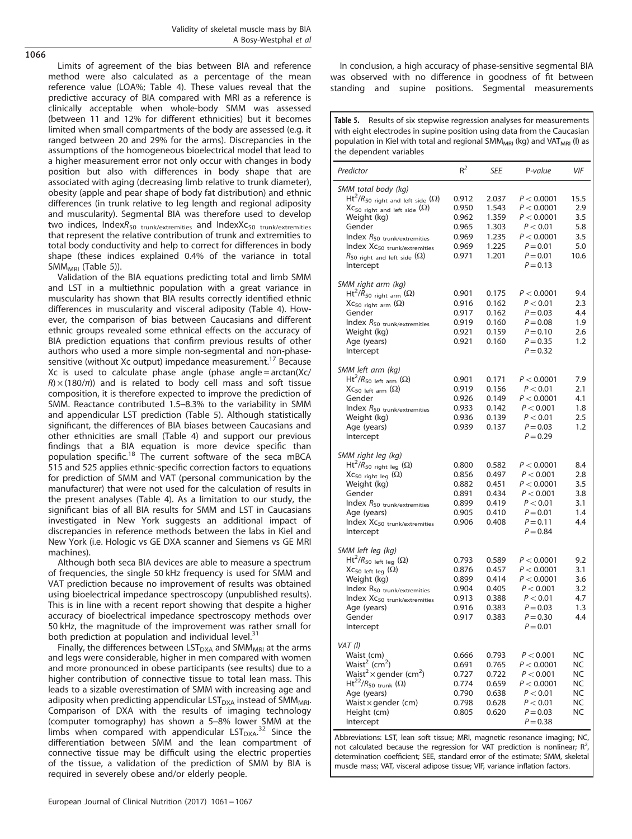Validity of skeletal muscle mass by BIA A Bosy-Westphal et al

<span id="page-5-0"></span>1066

Limits of agreement of the bias between BIA and reference method were also calculated as a percentage of the mean reference value (LOA%; [Table 4\)](#page-4-0). These values reveal that the predictive accuracy of BIA compared with MRI as a reference is clinically acceptable when whole-body SMM was assessed (between 11 and 12% for different ethnicities) but it becomes limited when small compartments of the body are assessed (e.g. it ranged between 20 and 29% for the arms). Discrepancies in the assumptions of the homogeneous bioelectrical model that lead to a higher measurement error not only occur with changes in body position but also with differences in body shape that are associated with aging (decreasing limb relative to trunk diameter), obesity (apple and pear shape of body fat distribution) and ethnic differences (in trunk relative to leg length and regional adiposity and muscularity). Segmental BIA was therefore used to develop two indices, IndexR<sub>50</sub> trunk/extremities and IndexXc<sub>50</sub> trunk/extremities that represent the relative contribution of trunk and extremities to total body conductivity and help to correct for differences in body shape (these indices explained 0.4% of the variance in total  $SMM_{MRI}$  (Table 5)).

Validation of the BIA equations predicting total and limb SMM and LST in a multiethnic population with a great variance in muscularity has shown that BIA results correctly identified ethnic differences in muscularity and visceral adiposity [\(Table 4\)](#page-4-0). However, the comparison of bias between Caucasians and different ethnic groups revealed some ethnical effects on the accuracy of BIA prediction equations that confirm previous results of other authors who used a more simple non-segmental and non-phase-sensitive (without Xc output) impedance measurement.<sup>[17](#page-6-0)</sup> Because Xc is used to calculate phase angle (phase angle = arctan(Xc/  $R$ ) × (180/ $\pi$ )) and is related to body cell mass and soft tissue composition, it is therefore expected to improve the prediction of SMM. Reactance contributed 1.5–8.3% to the variability in SMM and appendicular LST prediction (Table 5). Although statistically significant, the differences of BIA biases between Caucasians and other ethnicities are small [\(Table 4\)](#page-4-0) and support our previous findings that a BIA equation is more device specific than population specific.<sup>[18](#page-6-0)</sup> The current software of the seca mBCA 515 and 525 applies ethnic-specific correction factors to equations for prediction of SMM and VAT (personal communication by the manufacturer) that were not used for the calculation of results in the present analyses ([Table 4](#page-4-0)). As a limitation to our study, the significant bias of all BIA results for SMM and LST in Caucasians investigated in New York suggests an additional impact of discrepancies in reference methods between the labs in Kiel and New York (i.e. Hologic vs GE DXA scanner and Siemens vs GE MRI machines).

Although both seca BIA devices are able to measure a spectrum of frequencies, the single 50 kHz frequency is used for SMM and VAT prediction because no improvement of results was obtained using bioelectrical impedance spectroscopy (unpublished results). This is in line with a recent report showing that despite a higher accuracy of bioelectrical impedance spectroscopy methods over 50 kHz, the magnitude of the improvement was rather small for both prediction at population and individual level. $31$ 

Finally, the differences between  $\text{LST}_{\text{DXA}}$  and SMM<sub>MRI</sub> at the arms and legs were considerable, higher in men compared with women and more pronounced in obese participants (see results) due to a higher contribution of connective tissue to total lean mass. This leads to a sizable overestimation of SMM with increasing age and adiposity when predicting appendicular  $LST<sub>DXA</sub>$  instead of SMM<sub>MRI</sub>. Comparison of DXA with the results of imaging technology (computer tomography) has shown a 5–8% lower SMM at the limbs when compared with appendicular  $LST_{DXA}^{32}$  $LST_{DXA}^{32}$  $LST_{DXA}^{32}$  Since the differentiation between SMM and the lean compartment of connective tissue may be difficult using the electric properties of the tissue, a validation of the prediction of SMM by BIA is required in severely obese and/or elderly people.

In conclusion, a high accuracy of phase-sensitive segmental BIA was observed with no difference in goodness of fit between standing and supine positions. Segmental measurements

Table 5. Results of six stepwise regression analyses for measurements with eight electrodes in supine position using data from the Caucasian population in Kiel with total and regional SMM<sub>MRI</sub> (kg) and VAT<sub>MRI</sub> (I) as the dependent variables

| Predictor                                               | $R^2$ | SEE   | P-value    | VIF       |
|---------------------------------------------------------|-------|-------|------------|-----------|
| SMM total body (kg)                                     |       |       |            |           |
| $\mathsf{Ht}^2/R_{50}$ right and left side $(\Omega)$   | 0.912 | 2.037 | P < 0.0001 | 15.5      |
| $\chi_{\mathsf{C}_{50}}$ right and left side $(\Omega)$ | 0.950 | 1.543 | P < 0.0001 | 2.9       |
| Weight (kg)                                             | 0.962 | 1.359 | P < 0.0001 | 3.5       |
| Gender                                                  | 0.965 | 1.303 | P < 0.01   | 5.8       |
| Index $R_{50}$ trunk/extremities                        | 0.969 | 1.235 | P < 0.0001 | 3.5       |
| Index XC <sub>50</sub> trunk/extremities                | 0.969 | 1.225 | $P = 0.01$ | 5.0       |
| $R_{50}$ right and left side $(\Omega)$                 | 0.971 | 1.201 | $P = 0.01$ | 10.6      |
| Intercept                                               |       |       | $P = 0.13$ |           |
| SMM right arm (kg)                                      |       |       |            |           |
| $Ht^2/R_{50}$ right arm $(\Omega)$                      | 0.901 | 0.175 | P < 0.0001 | 9.4       |
| $XC_{50 \text{ right arm}}(\Omega)$                     | 0.916 | 0.162 | P < 0.01   | 2.3       |
| Gender                                                  | 0.917 | 0.162 | $P = 0.03$ | 4.4       |
| Index $R_{50}$ trunk/extremities                        | 0.919 | 0.160 | $P = 0.08$ | 1.9       |
| Weight (kg)                                             | 0.921 | 0.159 | $P = 0.10$ | 2.6       |
| Age (years)                                             | 0.921 | 0.160 | $P = 0.35$ | 1.2       |
| Intercept                                               |       |       | $P = 0.32$ |           |
| SMM left arm (kg)                                       |       |       |            |           |
| $Ht^2/R_{50}$ left arm ( $\Omega$ )                     | 0.901 | 0.171 | P < 0.0001 | 7.9       |
| $XC_{50}$ left arm $(\Omega)$                           | 0.919 | 0.156 | P < 0.01   | 2.1       |
| Gender                                                  | 0.926 | 0.149 | P < 0.0001 | 4.1       |
| Index $R_{50}$ trunk/extremities                        | 0.933 | 0.142 | P < 0.001  | 1.8       |
| Weight (kg)                                             | 0.936 | 0.139 | P < 0.01   | 2.5       |
| Age (years)                                             | 0.939 | 0.137 | $P = 0.03$ | 1.2       |
| Intercept                                               |       |       | $P = 0.29$ |           |
| SMM right leg (kg)                                      |       |       |            |           |
| $Ht^2/R_{50}$ right leg ( $\Omega$ )                    | 0.800 | 0.582 | P < 0.0001 | 8.4       |
| $\chi_{\mathsf{C}_{50\text{ right leg}}}(\Omega)$       | 0.856 | 0.497 | P < 0.001  | 2.8       |
| Weight (kg)                                             | 0.882 | 0.451 | P < 0.0001 | 3.5       |
| Gender                                                  | 0.891 | 0.434 | P < 0.001  | 3.8       |
| Index $R_{50}$ trunk/extremities                        | 0.899 | 0.419 | P < 0.01   | 3.1       |
| Age (years)                                             | 0.905 | 0.410 | $P = 0.01$ | 1.4       |
| Index XC <sub>50</sub> trunk/extremities                | 0.906 | 0.408 | $P = 0.11$ | 4.4       |
| Intercept                                               |       |       | $P = 0.84$ |           |
| SMM left leg (kg)                                       |       |       |            |           |
| $Ht^2/R_{50}$ left leg ( $\Omega$ )                     | 0.793 | 0.589 | P < 0.0001 | 9.2       |
| $XC_{50}$ left leg $(\Omega)$                           | 0.876 | 0.457 | P < 0.0001 | 3.1       |
| Weight (kg)                                             | 0.899 | 0.414 | P < 0.0001 | 3.6       |
| Index R <sub>50</sub> trunk/extremities                 | 0.904 | 0.405 | P < 0.001  | 3.2       |
| Index XC <sub>50</sub> trunk/extremities                | 0.913 | 0.388 | P < 0.01   | 4.7       |
| Age (years)                                             | 0.916 | 0.383 | $P = 0.03$ | 1.3       |
| Gender                                                  | 0.917 | 0.383 | $P = 0.30$ | 4.4       |
| Intercept                                               |       |       | $P = 0.01$ |           |
| VAT (I)                                                 |       |       |            |           |
| Waist (cm)                                              | 0.666 | 0.793 | P < 0.001  | NC        |
| Waist <sup>2</sup> (cm <sup>2</sup> )                   | 0.691 | 0.765 | P < 0.0001 | NC        |
| Waist <sup>2</sup> × gender (cm <sup>2</sup> )          | 0.727 | 0.722 | P < 0.001  | <b>NC</b> |
| $Ht^{22}/R_{50}$ <sub>trunk</sub> ( $\Omega$ )          | 0.774 | 0.659 | P < 0.0001 | NC        |
| Age (years)                                             | 0.790 | 0.638 | P < 0.01   | ΝC        |
| Waist $\times$ gender (cm)                              | 0.798 | 0.628 | P < 0.01   | NC        |
| Height (cm)                                             | 0.805 | 0.620 | $P = 0.03$ | ΝC        |
| Intercept                                               |       |       | $P = 0.38$ |           |
|                                                         |       |       |            |           |

Abbreviations: LST, lean soft tissue; MRI, magnetic resonance imaging; NC, not calculated because the regression for VAT prediction is nonlinear;  $R^2$ , determination coefficient; SEE, standard error of the estimate; SMM, skeletal muscle mass; VAT, visceral adipose tissue; VIF, variance inflation factors.